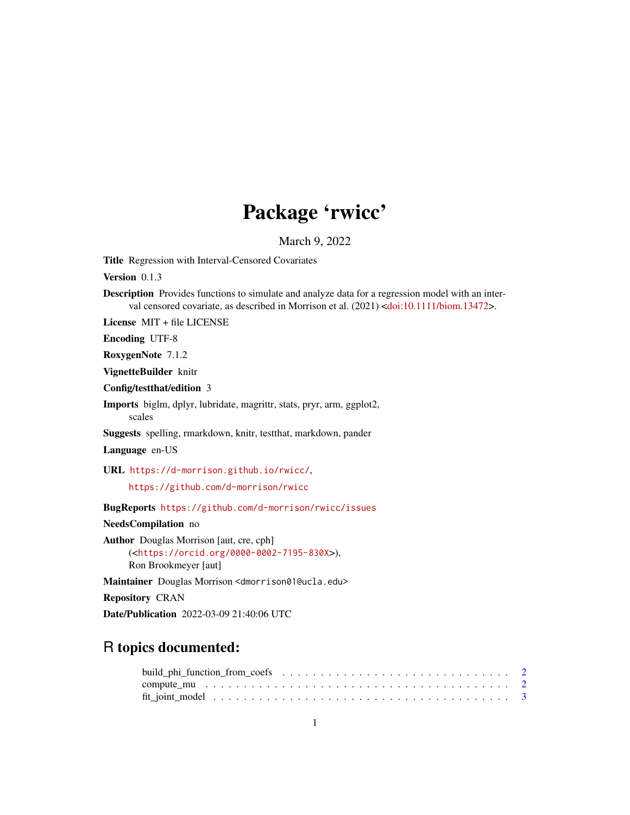## Package 'rwicc'

March 9, 2022

Title Regression with Interval-Censored Covariates

Version 0.1.3

Description Provides functions to simulate and analyze data for a regression model with an inter-val censored covariate, as described in Morrison et al. (2021) [<doi:10.1111/biom.13472>](https://doi.org/10.1111/biom.13472).

License MIT + file LICENSE

Encoding UTF-8

RoxygenNote 7.1.2

VignetteBuilder knitr

Config/testthat/edition 3

Imports biglm, dplyr, lubridate, magrittr, stats, pryr, arm, ggplot2, scales

Suggests spelling, rmarkdown, knitr, testthat, markdown, pander

Language en-US

URL <https://d-morrison.github.io/rwicc/>,

<https://github.com/d-morrison/rwicc>

BugReports <https://github.com/d-morrison/rwicc/issues>

NeedsCompilation no

Author Douglas Morrison [aut, cre, cph] (<<https://orcid.org/0000-0002-7195-830X>>), Ron Brookmeyer [aut]

Maintainer Douglas Morrison <dmorrison01@ucla.edu>

Repository CRAN

Date/Publication 2022-03-09 21:40:06 UTC

### R topics documented: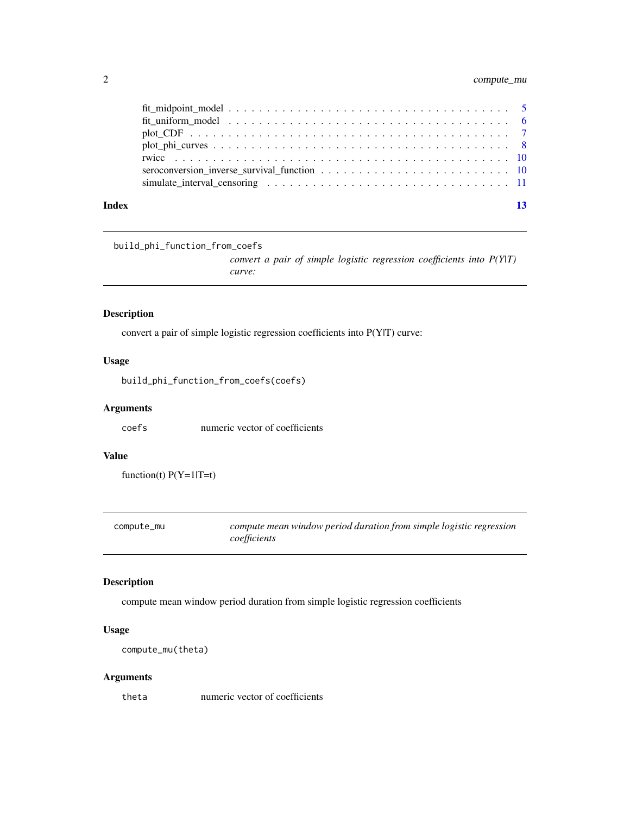#### <span id="page-1-0"></span>2 compute\_mu

| Index |                                                                                                                             |  |
|-------|-----------------------------------------------------------------------------------------------------------------------------|--|
|       | simulate interval censoring $\ldots \ldots \ldots \ldots \ldots \ldots \ldots \ldots \ldots \ldots \ldots \ldots \ldots 11$ |  |
|       | seroconversion inverse survival function $\ldots \ldots \ldots \ldots \ldots \ldots \ldots \ldots \ldots 10$                |  |
|       |                                                                                                                             |  |
|       |                                                                                                                             |  |
|       |                                                                                                                             |  |
|       |                                                                                                                             |  |
|       |                                                                                                                             |  |

build\_phi\_function\_from\_coefs

*convert a pair of simple logistic regression coefficients into P(Y|T) curve:*

#### Description

convert a pair of simple logistic regression coefficients into P(Y|T) curve:

#### Usage

build\_phi\_function\_from\_coefs(coefs)

#### Arguments

coefs numeric vector of coefficients

#### Value

 $function(t) P(Y=1|T=t)$ 

compute\_mu *compute mean window period duration from simple logistic regression coefficients*

#### Description

compute mean window period duration from simple logistic regression coefficients

#### Usage

compute\_mu(theta)

#### Arguments

theta numeric vector of coefficients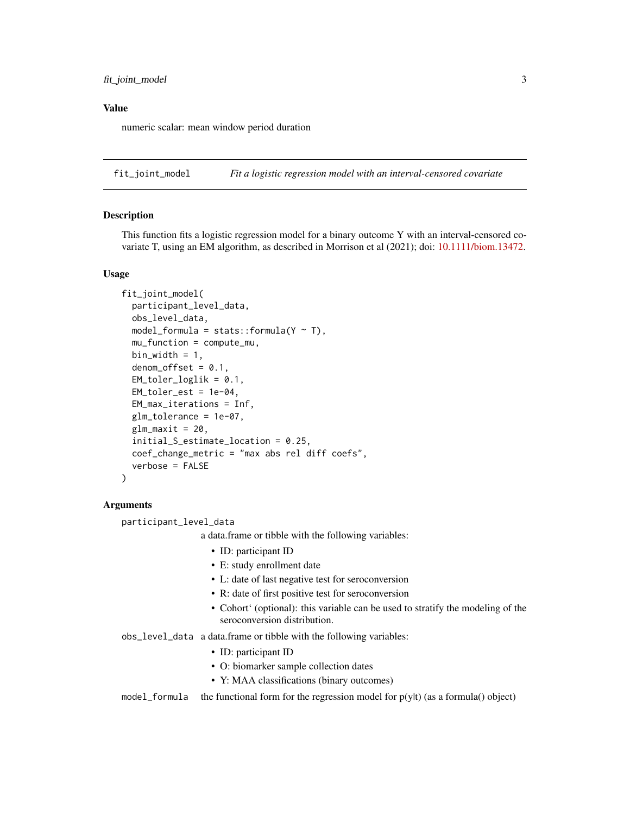<span id="page-2-0"></span>numeric scalar: mean window period duration

<span id="page-2-1"></span>fit\_joint\_model *Fit a logistic regression model with an interval-censored covariate*

#### Description

This function fits a logistic regression model for a binary outcome Y with an interval-censored covariate T, using an EM algorithm, as described in Morrison et al (2021); doi: [10.1111/biom.13472.](https://doi.org/10.1111/biom.13472)

#### Usage

```
fit_joint_model(
 participant_level_data,
  obs_level_data,
  model_formula = stats::formula(Y \sim T),
  mu_function = compute_mu,
 bin_width = 1,
  denom_{of}fset = 0.1,
  EM_toler_loglik = 0.1,
  EM_toler_est = 1e-04,
  EM_max_iterations = Inf,
 glm_tolerance = 1e-07,
  glm_maxit = 20,initial_S_estimate_location = 0.25,
  coef_change_metric = "max abs rel diff coefs",
  verbose = FALSE
)
```
#### Arguments

participant\_level\_data

a data.frame or tibble with the following variables:

- ID: participant ID
- E: study enrollment date
- L: date of last negative test for seroconversion
- R: date of first positive test for seroconversion
- Cohort' (optional): this variable can be used to stratify the modeling of the seroconversion distribution.
- obs\_level\_data a data.frame or tibble with the following variables:
	- ID: participant ID
	- O: biomarker sample collection dates
	- Y: MAA classifications (binary outcomes)

model\_formula the functional form for the regression model for  $p(y|t)$  (as a formula() object)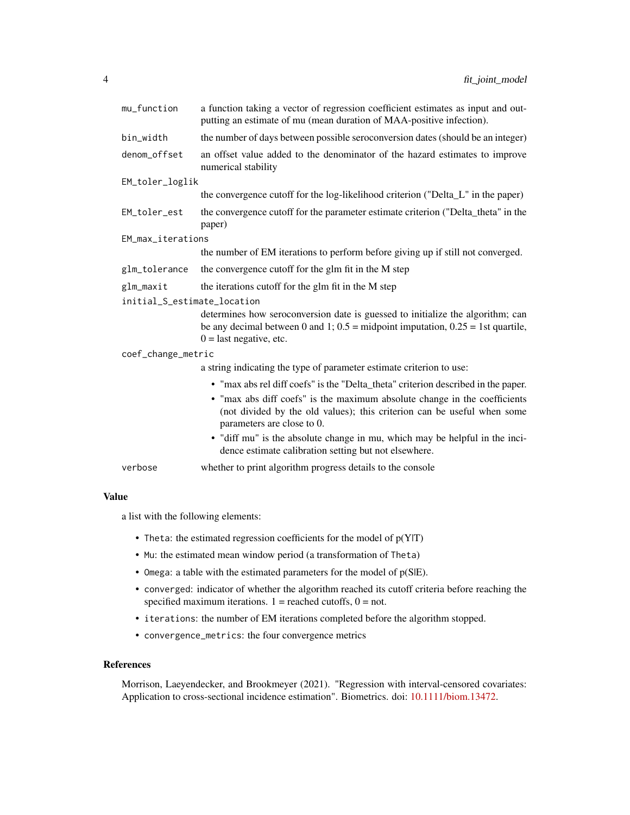| mu_function                 | a function taking a vector of regression coefficient estimates as input and out-<br>putting an estimate of mu (mean duration of MAA-positive infection).                                           |  |  |  |  |  |
|-----------------------------|----------------------------------------------------------------------------------------------------------------------------------------------------------------------------------------------------|--|--|--|--|--|
| bin_width                   | the number of days between possible seroconversion dates (should be an integer)                                                                                                                    |  |  |  |  |  |
| denom_offset                | an offset value added to the denominator of the hazard estimates to improve<br>numerical stability                                                                                                 |  |  |  |  |  |
| EM_toler_loglik             |                                                                                                                                                                                                    |  |  |  |  |  |
|                             | the convergence cutoff for the log-likelihood criterion ("Delta_L" in the paper)                                                                                                                   |  |  |  |  |  |
| EM_toler_est                | the convergence cutoff for the parameter estimate criterion ("Delta_theta" in the<br>paper)                                                                                                        |  |  |  |  |  |
| EM_max_iterations           |                                                                                                                                                                                                    |  |  |  |  |  |
|                             | the number of EM iterations to perform before giving up if still not converged.                                                                                                                    |  |  |  |  |  |
| glm_tolerance               | the convergence cutoff for the glm fit in the M step                                                                                                                                               |  |  |  |  |  |
| glm_maxit                   | the iterations cutoff for the glm fit in the M step                                                                                                                                                |  |  |  |  |  |
| initial_S_estimate_location |                                                                                                                                                                                                    |  |  |  |  |  |
|                             | determines how seroconversion date is guessed to initialize the algorithm; can<br>be any decimal between 0 and 1; $0.5$ = midpoint imputation, $0.25$ = 1st quartile,<br>$0 =$ last negative, etc. |  |  |  |  |  |
| coef_change_metric          |                                                                                                                                                                                                    |  |  |  |  |  |
|                             | a string indicating the type of parameter estimate criterion to use:                                                                                                                               |  |  |  |  |  |
|                             | • "max abs rel diff coefs" is the "Delta_theta" criterion described in the paper.                                                                                                                  |  |  |  |  |  |
|                             | • "max abs diff coefs" is the maximum absolute change in the coefficients<br>(not divided by the old values); this criterion can be useful when some<br>parameters are close to 0.                 |  |  |  |  |  |
|                             | • "diff mu" is the absolute change in mu, which may be helpful in the inci-<br>dence estimate calibration setting but not elsewhere.                                                               |  |  |  |  |  |
| verbose                     | whether to print algorithm progress details to the console                                                                                                                                         |  |  |  |  |  |

a list with the following elements:

- Theta: the estimated regression coefficients for the model of  $p(Y|T)$
- Mu: the estimated mean window period (a transformation of Theta)
- Omega: a table with the estimated parameters for the model of p(S|E).
- converged: indicator of whether the algorithm reached its cutoff criteria before reaching the specified maximum iterations.  $1 =$  reached cutoffs,  $0 =$  not.
- iterations: the number of EM iterations completed before the algorithm stopped.
- convergence\_metrics: the four convergence metrics

#### References

Morrison, Laeyendecker, and Brookmeyer (2021). "Regression with interval-censored covariates: Application to cross-sectional incidence estimation". Biometrics. doi: [10.1111/biom.13472.](https://doi.org/10.1111/biom.13472)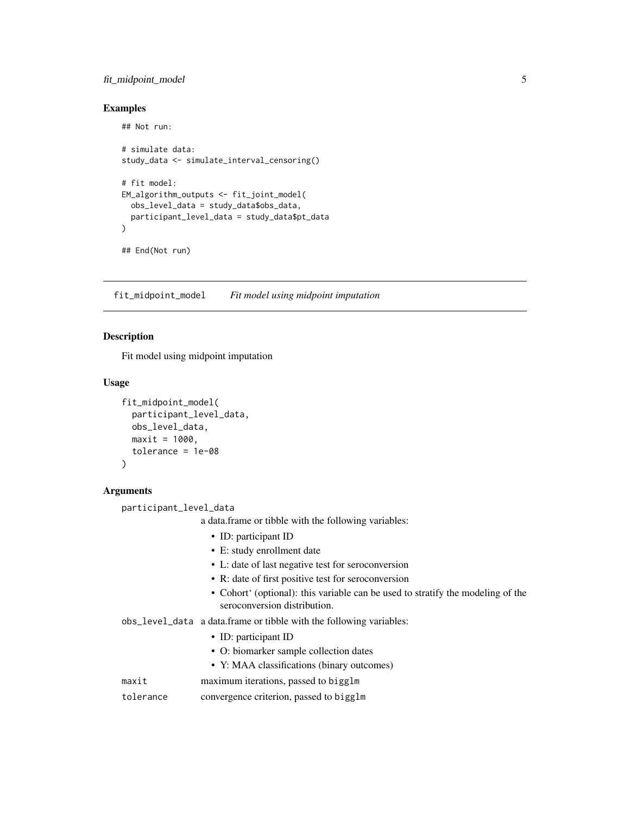#### <span id="page-4-0"></span>fit\_midpoint\_model 5

#### Examples

## Not run: # simulate data: study\_data <- simulate\_interval\_censoring()

```
# fit model:
EM_algorithm_outputs <- fit_joint_model(
  obs_level_data = study_data$obs_data,
  participant_level_data = study_data$pt_data
)
## End(Not run)
```
fit\_midpoint\_model *Fit model using midpoint imputation*

#### Description

Fit model using midpoint imputation

#### Usage

```
fit_midpoint_model(
 participant_level_data,
  obs_level_data,
 maxit = 1000,
  tolerance = 1e-08
)
```
#### Arguments

participant\_level\_data

a data.frame or tibble with the following variables:

- ID: participant ID
- E: study enrollment date
- L: date of last negative test for seroconversion
- R: date of first positive test for seroconversion
- Cohort' (optional): this variable can be used to stratify the modeling of the seroconversion distribution.
- obs\_level\_data a data.frame or tibble with the following variables:
	- ID: participant ID
	- O: biomarker sample collection dates
	- Y: MAA classifications (binary outcomes)
- maxit maximum iterations, passed to bigglm
- tolerance convergence criterion, passed to bigglm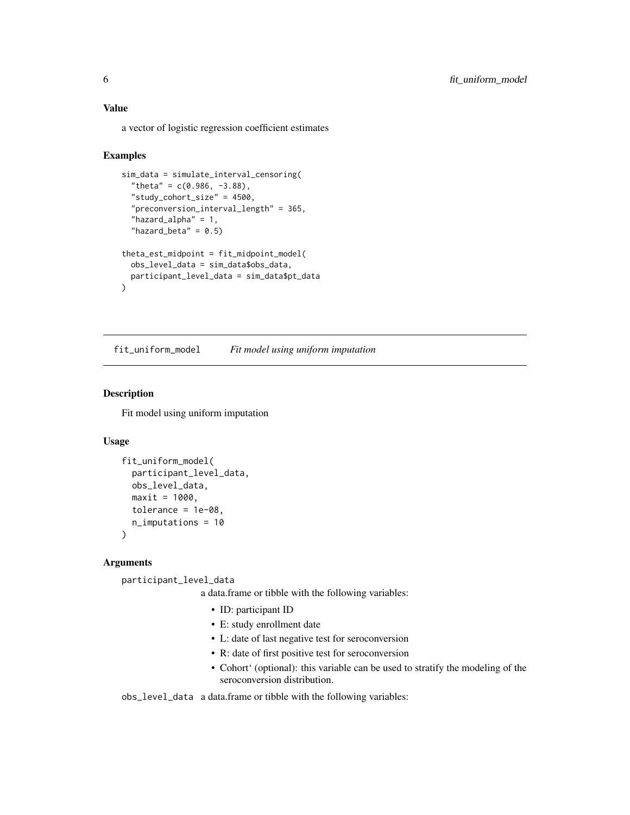<span id="page-5-0"></span>a vector of logistic regression coefficient estimates

#### Examples

```
sim_data = simulate_interval_censoring(
 "theta" = c(0.986, -3.88),
 "study_cohort_size" = 4500,
  "preconversion_interval_length" = 365,
 "hazard_alpha" = 1,
  "hazard_beta" = 0.5)
theta_est_midpoint = fit_midpoint_model(
 obs_level_data = sim_data$obs_data,
 participant_level_data = sim_data$pt_data
\mathcal{L}
```
fit\_uniform\_model *Fit model using uniform imputation*

#### Description

Fit model using uniform imputation

#### Usage

```
fit_uniform_model(
  participant_level_data,
  obs_level_data,
 maxit = 1000,
  tolerance = 1e-08,
  n_imputations = 10
)
```
#### **Arguments**

participant\_level\_data

a data.frame or tibble with the following variables:

- ID: participant ID
- E: study enrollment date
- L: date of last negative test for seroconversion
- R: date of first positive test for seroconversion
- Cohort' (optional): this variable can be used to stratify the modeling of the seroconversion distribution.

obs\_level\_data a data.frame or tibble with the following variables: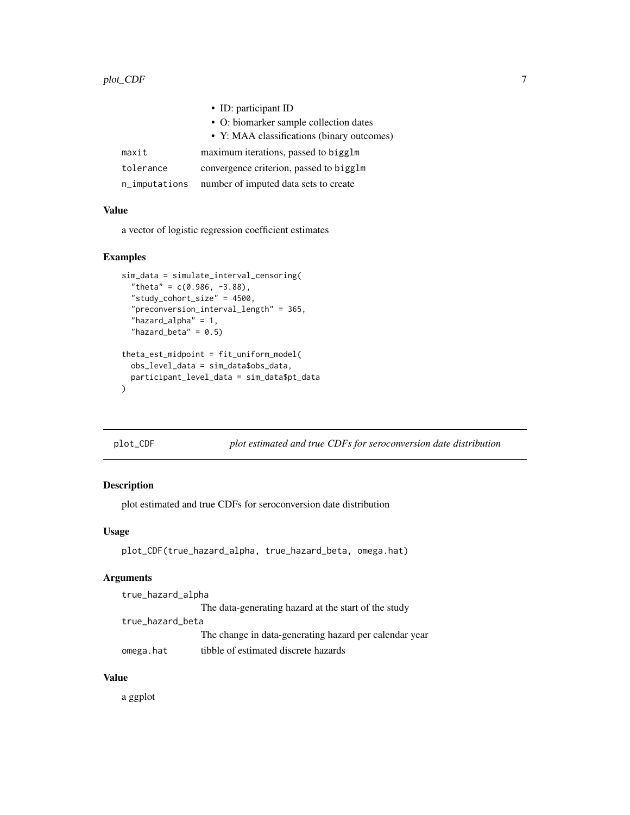<span id="page-6-0"></span>

|               | • ID: participant ID                       |
|---------------|--------------------------------------------|
|               | • O: biomarker sample collection dates     |
|               | • Y: MAA classifications (binary outcomes) |
| maxit         | maximum iterations, passed to bigglm       |
| tolerance     | convergence criterion, passed to bigglm    |
| n_imputations | number of imputed data sets to create      |

a vector of logistic regression coefficient estimates

#### Examples

```
sim_data = simulate_interval_censoring(
  "theta" = c(0.986, -3.88),
  "study_cohort_size" = 4500,
  "preconversion_interval_length" = 365,
  "hazard_alpha" = 1,
  "hazard_beta" = 0.5)
theta_est_midpoint = fit_uniform_model(
  obs_level_data = sim_data$obs_data,
  participant_level_data = sim_data$pt_data
)
```
plot\_CDF *plot estimated and true CDFs for seroconversion date distribution*

#### Description

plot estimated and true CDFs for seroconversion date distribution

#### Usage

```
plot_CDF(true_hazard_alpha, true_hazard_beta, omega.hat)
```
#### Arguments

| true_hazard_alpha |                                                        |
|-------------------|--------------------------------------------------------|
|                   | The data-generating hazard at the start of the study   |
| true_hazard_beta  |                                                        |
|                   | The change in data-generating hazard per calendar year |
| omega.hat         | tibble of estimated discrete hazards                   |

#### Value

a ggplot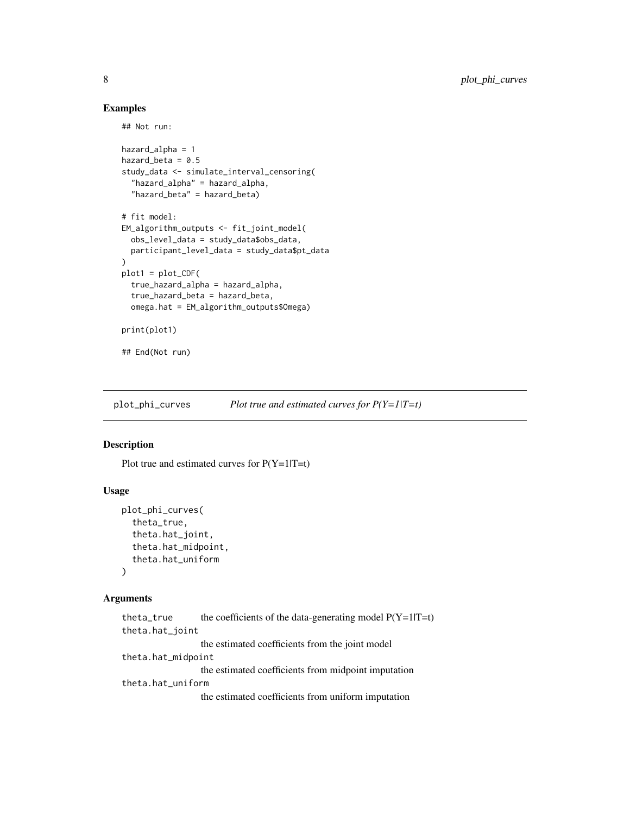#### Examples

## Not run:

```
hazard_alpha = 1
hazard beta = 0.5study_data <- simulate_interval_censoring(
  "hazard_alpha" = hazard_alpha,
  "hazard_beta" = hazard_beta)
# fit model:
EM_algorithm_outputs <- fit_joint_model(
  obs_level_data = study_data$obs_data,
  participant_level_data = study_data$pt_data
\lambdaplot1 = plot_CDF(
  true_hazard_alpha = hazard_alpha,
  true_hazard_beta = hazard_beta,
  omega.hat = EM_algorithm_outputs$Omega)
print(plot1)
## End(Not run)
```
plot\_phi\_curves *Plot true and estimated curves for P(Y=1|T=t)*

#### Description

Plot true and estimated curves for  $P(Y=1|T=t)$ 

#### Usage

```
plot_phi_curves(
  theta_true,
  theta.hat_joint,
  theta.hat_midpoint,
  theta.hat_uniform
)
```
#### Arguments

```
theta_true the coefficients of the data-generating model P(Y=1|T=t)theta.hat_joint
                 the estimated coefficients from the joint model
theta.hat_midpoint
                 the estimated coefficients from midpoint imputation
theta.hat_uniform
                 the estimated coefficients from uniform imputation
```
<span id="page-7-0"></span>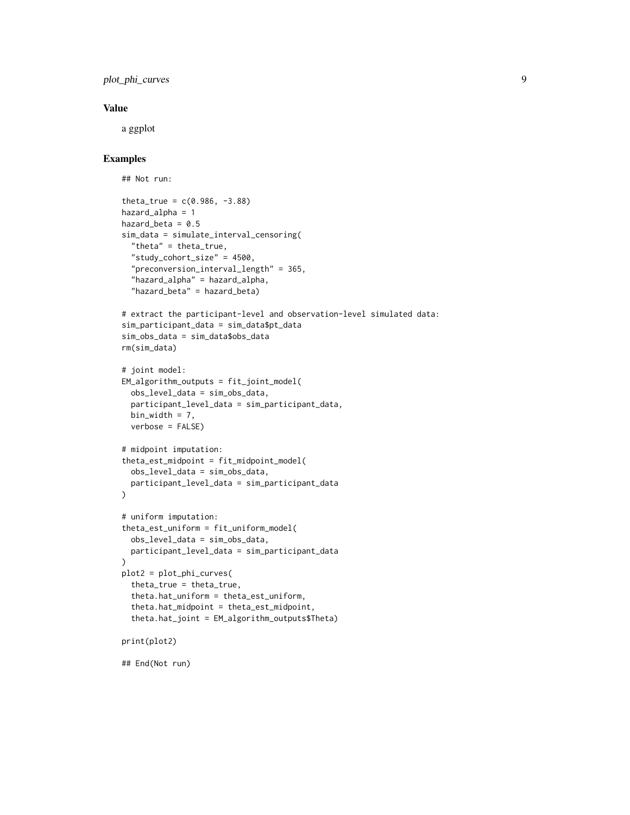plot\_phi\_curves 9

#### Value

a ggplot

#### Examples

```
## Not run:
theta_true = c(0.986, -3.88)hazard_alpha = 1
hazard_beta = 0.5sim_data = simulate_interval_censoring(
  "theta" = theta_true,
  "study_cohort_size" = 4500,
  "preconversion_interval_length" = 365,
  "hazard_alpha" = hazard_alpha,
  "hazard_beta" = hazard_beta)
# extract the participant-level and observation-level simulated data:
sim_participant_data = sim_data$pt_data
sim_obs_data = sim_data$obs_data
rm(sim_data)
# joint model:
EM_algorithm_outputs = fit_joint_model(
  obs_level_data = sim_obs_data,
  participant_level_data = sim_participant_data,
  bin_width = 7,
  verbose = FALSE)
# midpoint imputation:
theta_est_midpoint = fit_midpoint_model(
  obs_level_data = sim_obs_data,
  participant_level_data = sim_participant_data
)
# uniform imputation:
theta_est_uniform = fit_uniform_model(
  obs_level_data = sim_obs_data,
  participant_level_data = sim_participant_data
)
plot2 = plot_phi_curves(
  theta_true = theta_true,
  theta.hat_uniform = theta_est_uniform,
  theta.hat_midpoint = theta_est_midpoint,
  theta.hat_joint = EM_algorithm_outputs$Theta)
print(plot2)
```
## End(Not run)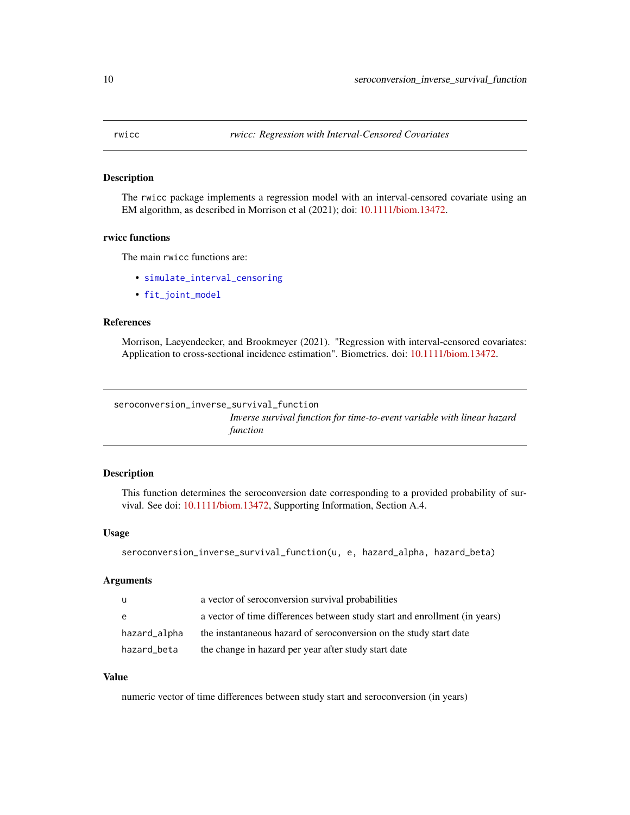<span id="page-9-0"></span>

#### Description

The rwicc package implements a regression model with an interval-censored covariate using an EM algorithm, as described in Morrison et al (2021); doi: [10.1111/biom.13472.](https://doi.org/10.1111/biom.13472)

#### rwicc functions

The main rwicc functions are:

- [simulate\\_interval\\_censoring](#page-10-1)
- [fit\\_joint\\_model](#page-2-1)

#### References

Morrison, Laeyendecker, and Brookmeyer (2021). "Regression with interval-censored covariates: Application to cross-sectional incidence estimation". Biometrics. doi: [10.1111/biom.13472.](https://doi.org/10.1111/biom.13472)

seroconversion\_inverse\_survival\_function

*Inverse survival function for time-to-event variable with linear hazard function*

#### Description

This function determines the seroconversion date corresponding to a provided probability of survival. See doi: [10.1111/biom.13472,](https://doi.org/10.1111/biom.13472) Supporting Information, Section A.4.

#### Usage

```
seroconversion_inverse_survival_function(u, e, hazard_alpha, hazard_beta)
```
#### Arguments

| - u          | a vector of seroconversion survival probabilities                          |
|--------------|----------------------------------------------------------------------------|
| e            | a vector of time differences between study start and enrollment (in years) |
| hazard_alpha | the instantaneous hazard of seroconversion on the study start date         |
| hazard_beta  | the change in hazard per year after study start date                       |

#### Value

numeric vector of time differences between study start and seroconversion (in years)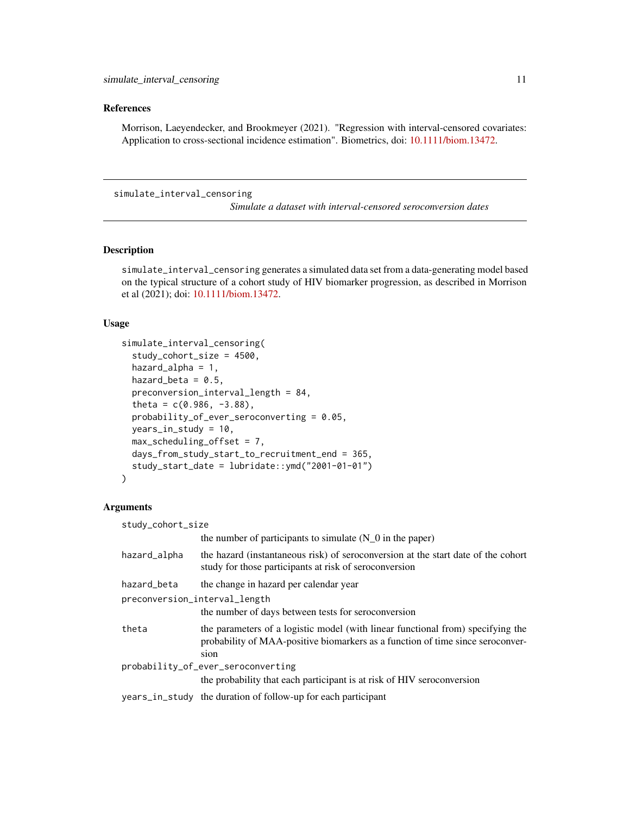#### <span id="page-10-0"></span>References

Morrison, Laeyendecker, and Brookmeyer (2021). "Regression with interval-censored covariates: Application to cross-sectional incidence estimation". Biometrics, doi: [10.1111/biom.13472.](https://doi.org/10.1111/biom.13472)

#### <span id="page-10-1"></span>simulate\_interval\_censoring

*Simulate a dataset with interval-censored seroconversion dates*

#### Description

simulate\_interval\_censoring generates a simulated data set from a data-generating model based on the typical structure of a cohort study of HIV biomarker progression, as described in Morrison et al (2021); doi: [10.1111/biom.13472.](https://doi.org/10.1111/biom.13472)

#### Usage

```
simulate_interval_censoring(
  study_cohort_size = 4500,
  hazard_alpha = 1,
  hazard_beta = 0.5,
 preconversion_interval_length = 84,
  theta = c(0.986, -3.88),
  probability_of_ever_seroconverting = 0.05,
  years_in_study = 10,
  max_scheduling_offset = 7,
  days_from_study_start_to_recruitment_end = 365,
  study_start_date = lubridate::ymd("2001-01-01")
)
```
#### Arguments

| study_cohort_size                  |                                                                                                                                                                           |  |  |  |  |
|------------------------------------|---------------------------------------------------------------------------------------------------------------------------------------------------------------------------|--|--|--|--|
|                                    | the number of participants to simulate $(N_0$ in the paper)                                                                                                               |  |  |  |  |
| hazard_alpha                       | the hazard (instantaneous risk) of seroconversion at the start date of the cohort<br>study for those participants at risk of seroconversion                               |  |  |  |  |
| hazard_beta                        | the change in hazard per calendar year                                                                                                                                    |  |  |  |  |
| preconversion_interval_length      |                                                                                                                                                                           |  |  |  |  |
|                                    | the number of days between tests for seroconversion                                                                                                                       |  |  |  |  |
| theta                              | the parameters of a logistic model (with linear functional from) specifying the<br>probability of MAA-positive biomarkers as a function of time since seroconver-<br>sion |  |  |  |  |
| probability_of_ever_seroconverting |                                                                                                                                                                           |  |  |  |  |
|                                    | the probability that each participant is at risk of HIV seroconversion                                                                                                    |  |  |  |  |
|                                    | years_in_study the duration of follow-up for each participant                                                                                                             |  |  |  |  |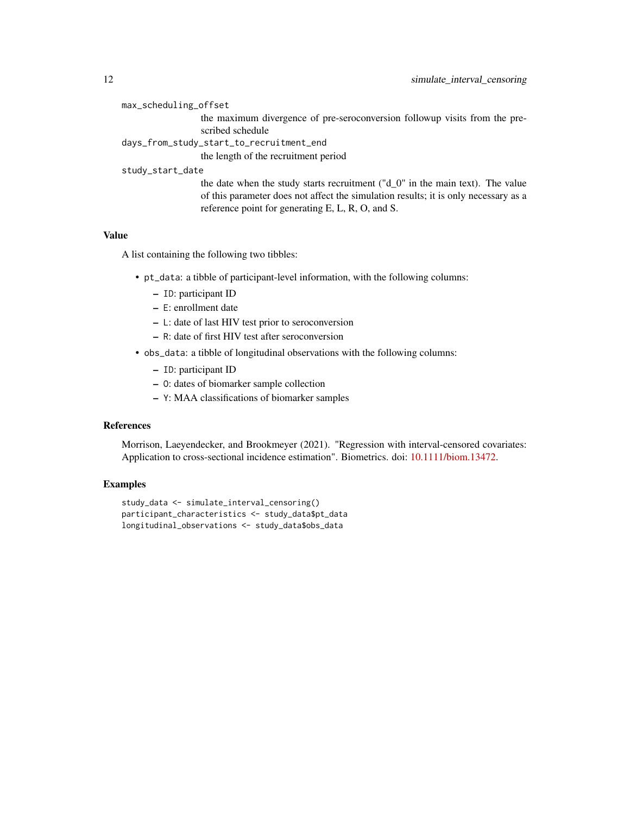max\_scheduling\_offset

the maximum divergence of pre-seroconversion followup visits from the prescribed schedule

days\_from\_study\_start\_to\_recruitment\_end

the length of the recruitment period

#### study\_start\_date

the date when the study starts recruitment ("d\_0" in the main text). The value of this parameter does not affect the simulation results; it is only necessary as a reference point for generating E, L, R, O, and S.

#### Value

A list containing the following two tibbles:

- pt\_data: a tibble of participant-level information, with the following columns:
	- ID: participant ID
	- E: enrollment date
	- L: date of last HIV test prior to seroconversion
	- R: date of first HIV test after seroconversion
- obs\_data: a tibble of longitudinal observations with the following columns:
	- ID: participant ID
	- O: dates of biomarker sample collection
	- Y: MAA classifications of biomarker samples

#### References

Morrison, Laeyendecker, and Brookmeyer (2021). "Regression with interval-censored covariates: Application to cross-sectional incidence estimation". Biometrics. doi: [10.1111/biom.13472.](https://doi.org/10.1111/biom.13472)

#### Examples

```
study_data <- simulate_interval_censoring()
participant_characteristics <- study_data$pt_data
longitudinal_observations <- study_data$obs_data
```